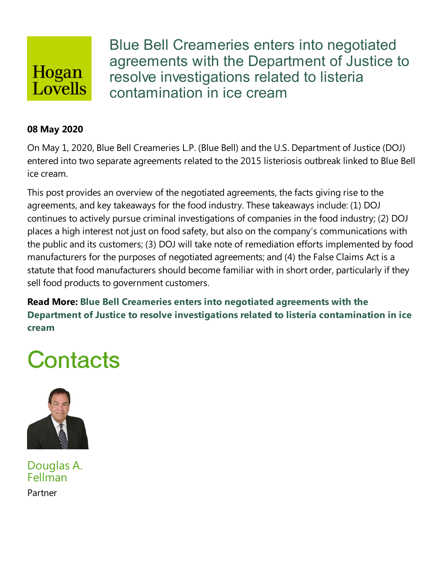## Hogan Lovells

Blue Bell Creameries enters into negotiated agreements with the Department of Justice to resolve investigations related to listeria contamination in ice cream

#### **08 May 2020**

On May 1, 2020, Blue Bell Creameries L.P. (Blue Bell) and the U.S. Department of Justice(DOJ) entered into two separate agreements related to the 2015 listeriosis outbreak linked to Blue Bell ice cream.

This post provides an overview of the negotiated agreements, the facts giving rise to the agreements, and key takeaways for the food industry. These takeaways include: (1) DOJ continues to actively pursue criminal investigations of companies in the food industry; (2) DOJ places a high interest not just on food safety, but also on the company's communications with the publicand its customers; (3) DOJ will take note of remediation efforts implemented by food manufacturers for the purposes of negotiated agreements; and (4) the False Claims Act is a statute that food manufacturers should become familiar with in short order, particularly if they sell food products to government customers.

**Read More: Blue Bell Creameries enters into negotiated agreements with the Department of Justice to resolve investigations related to listeria contamination in ice cream**

# Contacts



Douglas A. Fellman Partner